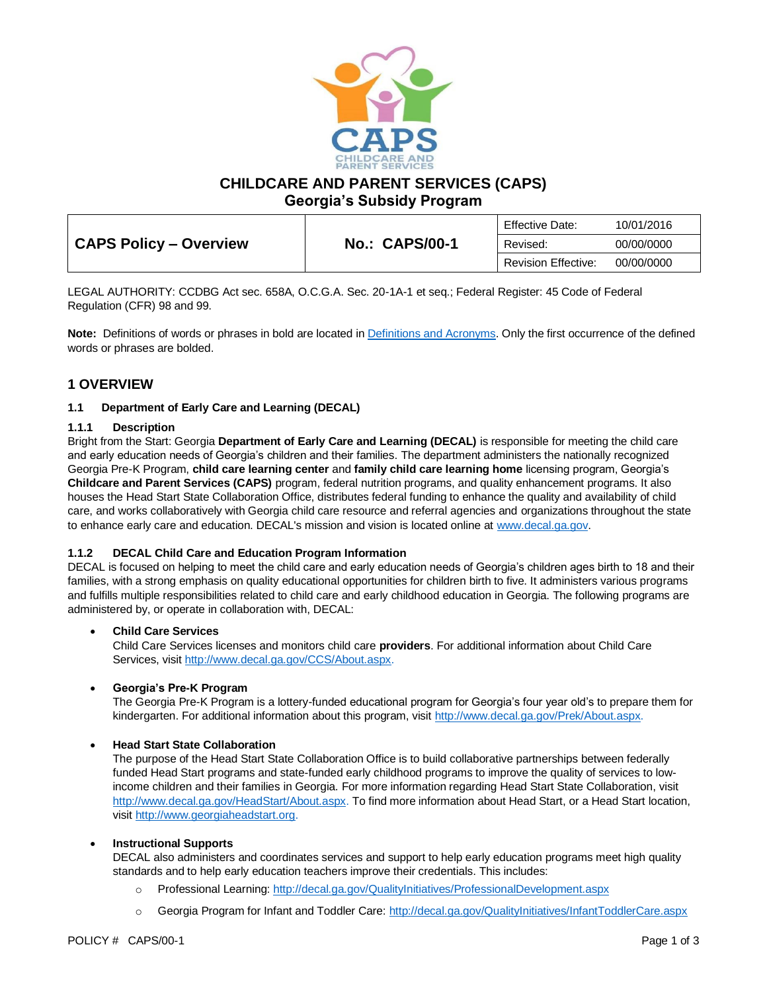

**CHILDCARE AND PARENT SERVICES (CAPS)**

**Georgia's Subsidy Program**

|                               |                       | <b>Effective Date:</b>     | 10/01/2016 |
|-------------------------------|-----------------------|----------------------------|------------|
| <b>CAPS Policy - Overview</b> | <b>No.: CAPS/00-1</b> | Revised:                   | 00/00/0000 |
|                               |                       | <b>Revision Effective:</b> | 00/00/0000 |

LEGAL AUTHORITY: CCDBG Act sec. 658A, O.C.G.A. Sec. 20-1A-1 et seq.; Federal Register: 45 Code of Federal Regulation (CFR) 98 and 99.

**Note:** Definitions of words or phrases in bold are located i[n Definitions and Acronyms.](https://caps.decal.ga.gov/assets/downloads/CAPS/02-CAPS_Policy-Definitions%20and%20Acronyms.pdf) Only the first occurrence of the defined words or phrases are bolded.

# **1 OVERVIEW**

## **1.1 Department of Early Care and Learning (DECAL)**

### **1.1.1 Description**

Bright from the Start: Georgia **Department of Early Care and Learning (DECAL)** is responsible for meeting the child care and early education needs of Georgia's children and their families. The department administers the nationally recognized Georgia Pre-K Program, **child care learning center** and **family child care learning home** licensing program, Georgia's **Childcare and Parent Services (CAPS)** program, federal nutrition programs, and quality enhancement programs. It also houses the Head Start State Collaboration Office, distributes federal funding to enhance the quality and availability of child care, and works collaboratively with Georgia child care resource and referral agencies and organizations throughout the state to enhance early care and education. DECAL's mission and vision is located online at [www.decal.ga.gov.](http://www.decal.ga.gov/)

## **1.1.2 DECAL Child Care and Education Program Information**

DECAL is focused on helping to meet the child care and early education needs of Georgia's children ages birth to 18 and their families, with a strong emphasis on quality educational opportunities for children birth to five. It administers various programs and fulfills multiple responsibilities related to child care and early childhood education in Georgia. The following programs are administered by, or operate in collaboration with, DECAL:

#### • **Child Care Services**

Child Care Services licenses and monitors child care **providers**. For additional information about Child Care Services, visi[t http://www.decal.ga.gov/CCS/About.aspx.](http://www.decal.ga.gov/CCS/About.aspx)

## • **Georgia's Pre-K Program**

The Georgia Pre-K Program is a lottery-funded educational program for Georgia's four year old's to prepare them for kindergarten. For additional information about this program, visit [http://www.decal.ga.gov/Prek/About.aspx.](http://www.decal.ga.gov/Prek/About.aspx)

#### • **Head Start State Collaboration**

The purpose of the Head Start State Collaboration Office is to build collaborative partnerships between federally funded Head Start programs and state-funded early childhood programs to improve the quality of services to lowincome children and their families in Georgia. For more information regarding Head Start State Collaboration, visit [http://www.decal.ga.gov/HeadStart/About.aspx.](http://www.decal.ga.gov/HeadStart/About.aspx) To find more information about Head Start, or a Head Start location, visit [http://www.georgiaheadstart.org.](http://www.georgiaheadstart.org/)

#### • **Instructional Supports**

DECAL also administers and coordinates services and support to help early education programs meet high quality standards and to help early education teachers improve their credentials. This includes:

- o Professional Learning:<http://decal.ga.gov/QualityInitiatives/ProfessionalDevelopment.aspx>
- o Georgia Program for Infant and Toddler Care[: http://decal.ga.gov/QualityInitiatives/InfantToddlerCare.aspx](http://decal.ga.gov/QualityInitiatives/InfantToddlerCare.aspx)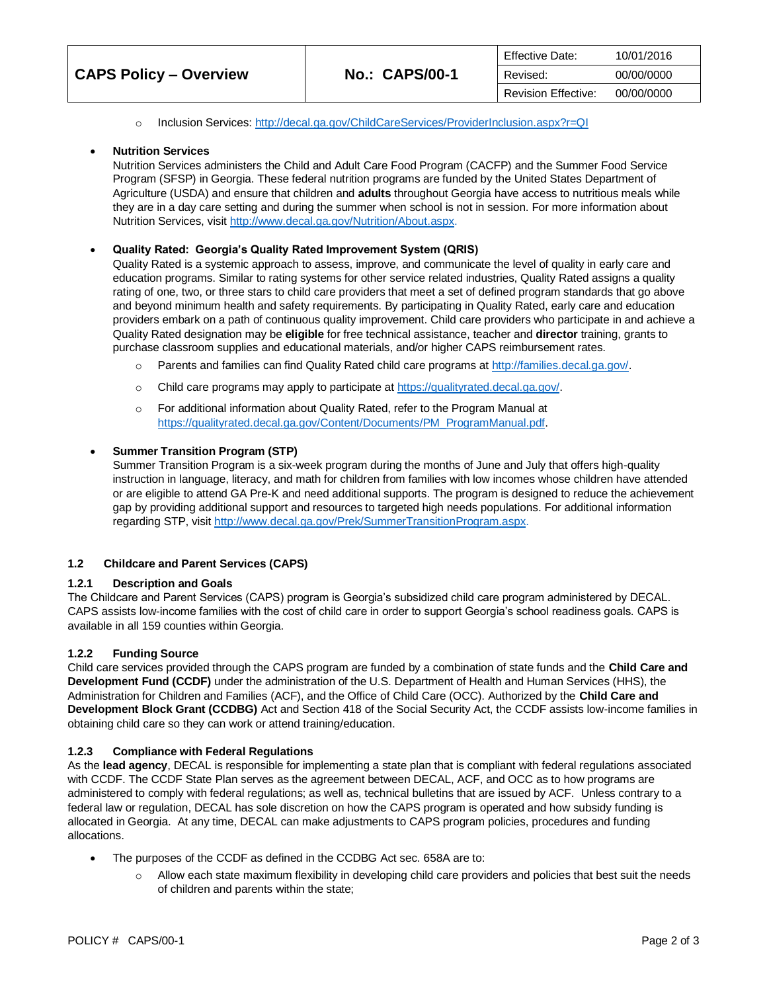|                               |                       | Effective Date:            | 10/01/2016 |
|-------------------------------|-----------------------|----------------------------|------------|
| <b>CAPS Policy – Overview</b> | <b>No.: CAPS/00-1</b> | Revised:                   | 00/00/0000 |
|                               |                       | <b>Revision Effective:</b> | 00/00/0000 |

### o Inclusion Services: <http://decal.ga.gov/ChildCareServices/ProviderInclusion.aspx?r=QI>

### • **Nutrition Services**

Nutrition Services administers the Child and Adult Care Food Program (CACFP) and the Summer Food Service Program (SFSP) in Georgia. These federal nutrition programs are funded by the United States Department of Agriculture (USDA) and ensure that children and **adults** throughout Georgia have access to nutritious meals while they are in a day care setting and during the summer when school is not in session. For more information about Nutrition Services, visit [http://www.decal.ga.gov/Nutrition/About.aspx.](http://www.decal.ga.gov/Nutrition/About.aspx)

### • **Quality Rated: Georgia's Quality Rated Improvement System (QRIS)**

Quality Rated is a systemic approach to assess, improve, and communicate the level of quality in early care and education programs. Similar to rating systems for other service related industries, Quality Rated assigns a quality rating of one, two, or three stars to child care providers that meet a set of defined program standards that go above and beyond minimum health and safety requirements. By participating in Quality Rated, early care and education providers embark on a path of continuous quality improvement. Child care providers who participate in and achieve a Quality Rated designation may be **eligible** for free technical assistance, teacher and **director** training, grants to purchase classroom supplies and educational materials, and/or higher CAPS reimbursement rates.

- o Parents and families can find Quality Rated child care programs a[t http://families.decal.ga.gov/.](http://families.decal.ga.gov/)
- o Child care programs may apply to participate at [https://qualityrated.decal.ga.gov/.](https://qualityrated.decal.ga.gov/)
- o For additional information about Quality Rated, refer to the Program Manual at [https://qualityrated.decal.ga.gov/Content/Documents/PM\\_ProgramManual.pdf.](https://qualityrated.decal.ga.gov/Content/Documents/PM_ProgramManual.pdf)

### • **Summer Transition Program (STP)**

Summer Transition Program is a six-week program during the months of June and July that offers high-quality instruction in language, literacy, and math for children from families with low incomes whose children have attended or are eligible to attend GA Pre-K and need additional supports. The program is designed to reduce the achievement gap by providing additional support and resources to targeted high needs populations. For additional information regarding STP, visit [http://www.decal.ga.gov/Prek/SummerTransitionProgram.aspx.](http://www.decal.ga.gov/Prek/SummerTransitionProgram.aspx)

## **1.2 Childcare and Parent Services (CAPS)**

#### **1.2.1 Description and Goals**

The Childcare and Parent Services (CAPS) program is Georgia's subsidized child care program administered by DECAL. CAPS assists low-income families with the cost of child care in order to support Georgia's school readiness goals. CAPS is available in all 159 counties within Georgia.

#### **1.2.2 Funding Source**

Child care services provided through the CAPS program are funded by a combination of state funds and the **Child Care and Development Fund (CCDF)** under the administration of the U.S. Department of Health and Human Services (HHS), the Administration for Children and Families (ACF), and the Office of Child Care (OCC). Authorized by the **Child Care and Development Block Grant (CCDBG)** Act and Section 418 of the Social Security Act, the CCDF assists low-income families in obtaining child care so they can work or attend training/education.

## **1.2.3 Compliance with Federal Regulations**

As the **lead agency**, DECAL is responsible for implementing a state plan that is compliant with federal regulations associated with CCDF. The CCDF State Plan serves as the agreement between DECAL, ACF, and OCC as to how programs are administered to comply with federal regulations; as well as, technical bulletins that are issued by ACF.Unless contrary to a federal law or regulation, DECAL has sole discretion on how the CAPS program is operated and how subsidy funding is allocated in Georgia. At any time, DECAL can make adjustments to CAPS program policies, procedures and funding allocations.

- The purposes of the CCDF as defined in the CCDBG Act sec. 658A are to:
	- $\circ$  Allow each state maximum flexibility in developing child care providers and policies that best suit the needs of children and parents within the state;